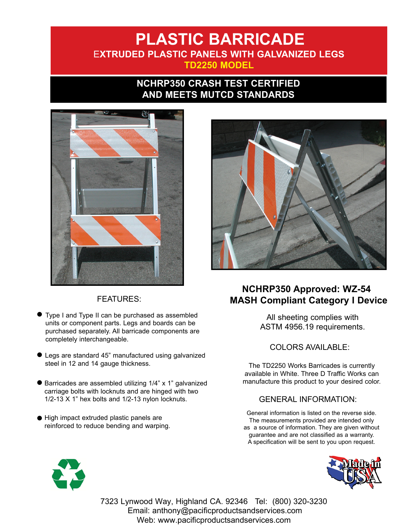## **PLASTIC BARRICADE** E**XTRUDED PLASTIC PANELS WITH GALVANIZED LEGS TD2250 MODEL**

## **NCHRP350 CRASH TEST CERTIFIED AND MEETS MUTCD STANDARDS**



### FEATURES:

- $\bullet$ Type I and Type II can be purchased as assembled units or component parts. Legs and boards can be purchased separately. All barricade components are completely interchangeable.
- l Legs are standard 45" manufactured using galvanized steel in 12 and 14 gauge thickness.
- l Barricades are assembled utilizing 1/4" x 1" galvanized carriage bolts with locknuts and are hinged with two 1/2-13 X 1" hex bolts and 1/2-13 nylon locknuts.
- l High impact extruded plastic panels are reinforced to reduce bending and warping.



## **NCHRP350 Approved: WZ-54 MASH Compliant Category I Device**

All sheeting complies with ASTM 4956.19 requirements.

#### COLORS AVAILABLE:

The TD2250 Works Barricades is currently available in White. Three D Traffic Works can manufacture this product to your desired color.

### GENERAL INFORMATION:

General information is listed on the reverse side. The measurements provided are intended only as a source of information. They are given without guarantee and are not classified as a warranty. A specification will be sent to you upon request.





7323 Lynwood Way, Highland CA. 92346 Tel: (800) 320-3230 Email: anthony@pacificproductsandservices.com Web: www.pacificproductsandservices.com